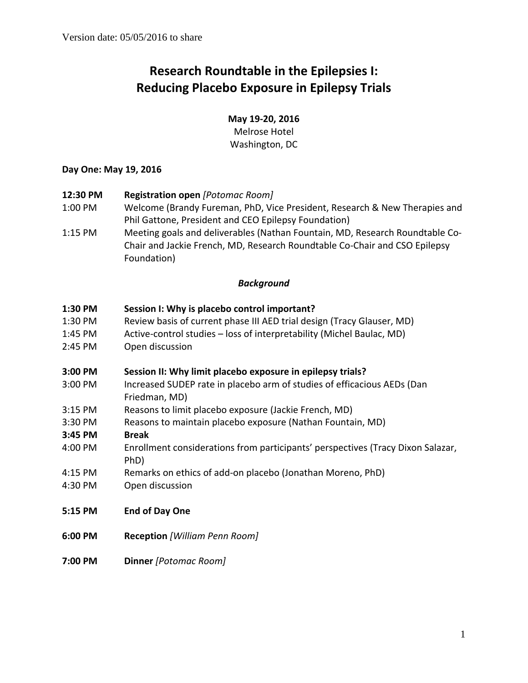# **Research Roundtable in the Epilepsies I: Reducing Placebo Exposure in Epilepsy Trials**

**May 19-20, 2016** Melrose Hotel Washington, DC

### **Day One: May 19, 2016**

- **12:30 PM Registration open** *[Potomac Room]*
- 1:00 PM Welcome (Brandy Fureman, PhD, Vice President, Research & New Therapies and Phil Gattone, President and CEO Epilepsy Foundation)
- 1:15 PM Meeting goals and deliverables (Nathan Fountain, MD, Research Roundtable Co-Chair and Jackie French, MD, Research Roundtable Co-Chair and CSO Epilepsy Foundation)

#### *Background*

#### **1:30 PM Session I: Why is placebo control important?**

- 1:30 PM Review basis of current phase III AED trial design (Tracy Glauser, MD)
- 1:45 PM Active-control studies loss of interpretability (Michel Baulac, MD)
- 2:45 PM Open discussion
- **3:00 PM Session II: Why limit placebo exposure in epilepsy trials?**
- 3:00 PM Increased SUDEP rate in placebo arm of studies of efficacious AEDs (Dan Friedman, MD)
- 3:15 PM Reasons to limit placebo exposure (Jackie French, MD)
- 3:30 PM Reasons to maintain placebo exposure (Nathan Fountain, MD)

#### **3:45 PM Break**

- 4:00 PM Enrollment considerations from participants' perspectives (Tracy Dixon Salazar, PhD)
- 4:15 PM Remarks on ethics of add-on placebo (Jonathan Moreno, PhD)
- 4:30 PM Open discussion
- **5:15 PM End of Day One**
- **6:00 PM Reception** *[William Penn Room]*
- **7:00 PM Dinner** *[Potomac Room]*